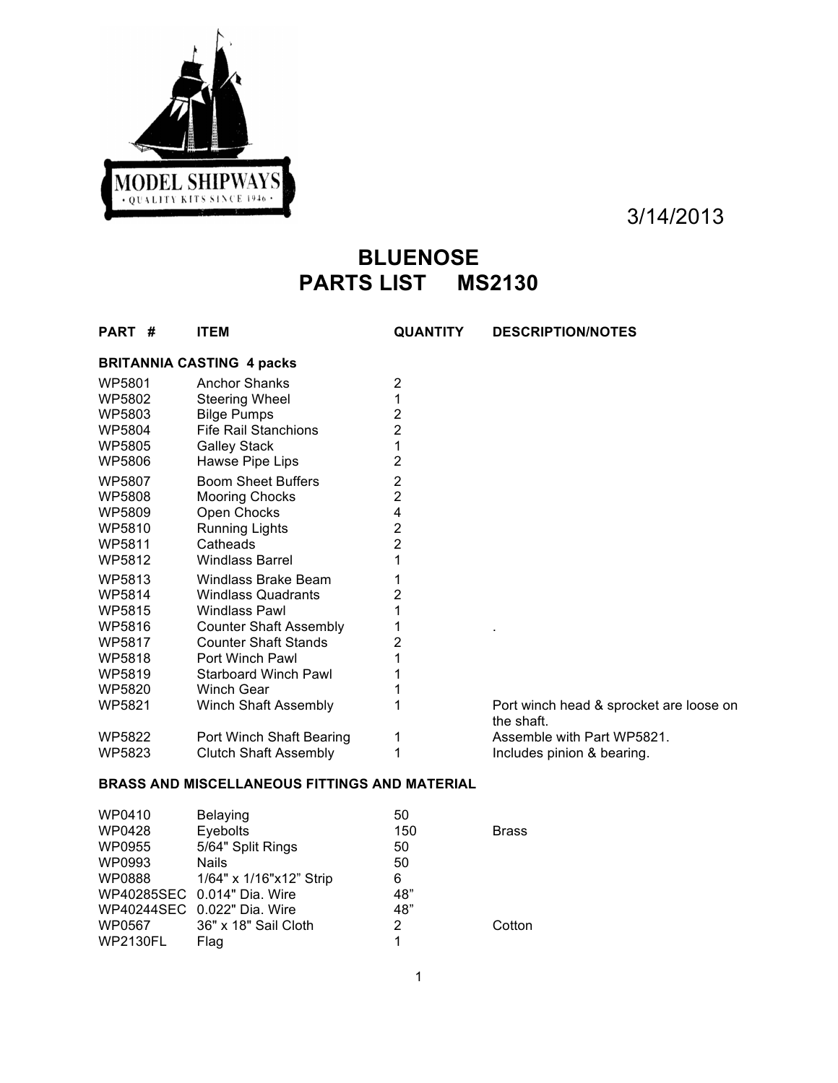

# **BLUENOSE PARTS LIST MS2130**

| PART # | <b>ITEM</b>                      | <b>QUANTITY</b> | <b>DESCRIPTION/NOTES</b>                              |
|--------|----------------------------------|-----------------|-------------------------------------------------------|
|        | <b>BRITANNIA CASTING 4 packs</b> |                 |                                                       |
| WP5801 | <b>Anchor Shanks</b>             | 2               |                                                       |
| WP5802 | <b>Steering Wheel</b>            | 1               |                                                       |
| WP5803 | <b>Bilge Pumps</b>               | 2               |                                                       |
| WP5804 | <b>Fife Rail Stanchions</b>      | 2               |                                                       |
| WP5805 | <b>Galley Stack</b>              | 1               |                                                       |
| WP5806 | Hawse Pipe Lips                  | 2               |                                                       |
| WP5807 | <b>Boom Sheet Buffers</b>        | 2               |                                                       |
| WP5808 | <b>Mooring Chocks</b>            | 2               |                                                       |
| WP5809 | Open Chocks                      | 4               |                                                       |
| WP5810 | Running Lights                   | 2               |                                                       |
| WP5811 | Catheads                         | 2               |                                                       |
| WP5812 | <b>Windlass Barrel</b>           | 1               |                                                       |
| WP5813 | Windlass Brake Beam              |                 |                                                       |
| WP5814 | <b>Windlass Quadrants</b>        | 2               |                                                       |
| WP5815 | <b>Windlass Pawl</b>             |                 |                                                       |
| WP5816 | <b>Counter Shaft Assembly</b>    |                 |                                                       |
| WP5817 | <b>Counter Shaft Stands</b>      | 2               |                                                       |
| WP5818 | Port Winch Pawl                  |                 |                                                       |
| WP5819 | <b>Starboard Winch Pawl</b>      |                 |                                                       |
| WP5820 | <b>Winch Gear</b>                | 1               |                                                       |
| WP5821 | Winch Shaft Assembly             | 1               | Port winch head & sprocket are loose on<br>the shaft. |
| WP5822 | Port Winch Shaft Bearing         | 1               | Assemble with Part WP5821.                            |
| WP5823 | <b>Clutch Shaft Assembly</b>     | 1               | Includes pinion & bearing.                            |

# **BRASS AND MISCELLANEOUS FITTINGS AND MATERIAL**

| WP0410   | <b>Belaying</b>             | 50  |              |
|----------|-----------------------------|-----|--------------|
| WP0428   | Eyebolts                    | 150 | <b>Brass</b> |
| WP0955   | 5/64" Split Rings           | 50  |              |
| WP0993   | <b>Nails</b>                | 50  |              |
| WP0888   | 1/64" x 1/16"x12" Strip     | 6   |              |
|          | WP40285SEC 0.014" Dia. Wire | 48" |              |
|          | WP40244SEC 0.022" Dia. Wire | 48" |              |
| WP0567   | 36" x 18" Sail Cloth        | 2   | Cotton       |
| WP2130FL | Flag                        |     |              |
|          |                             |     |              |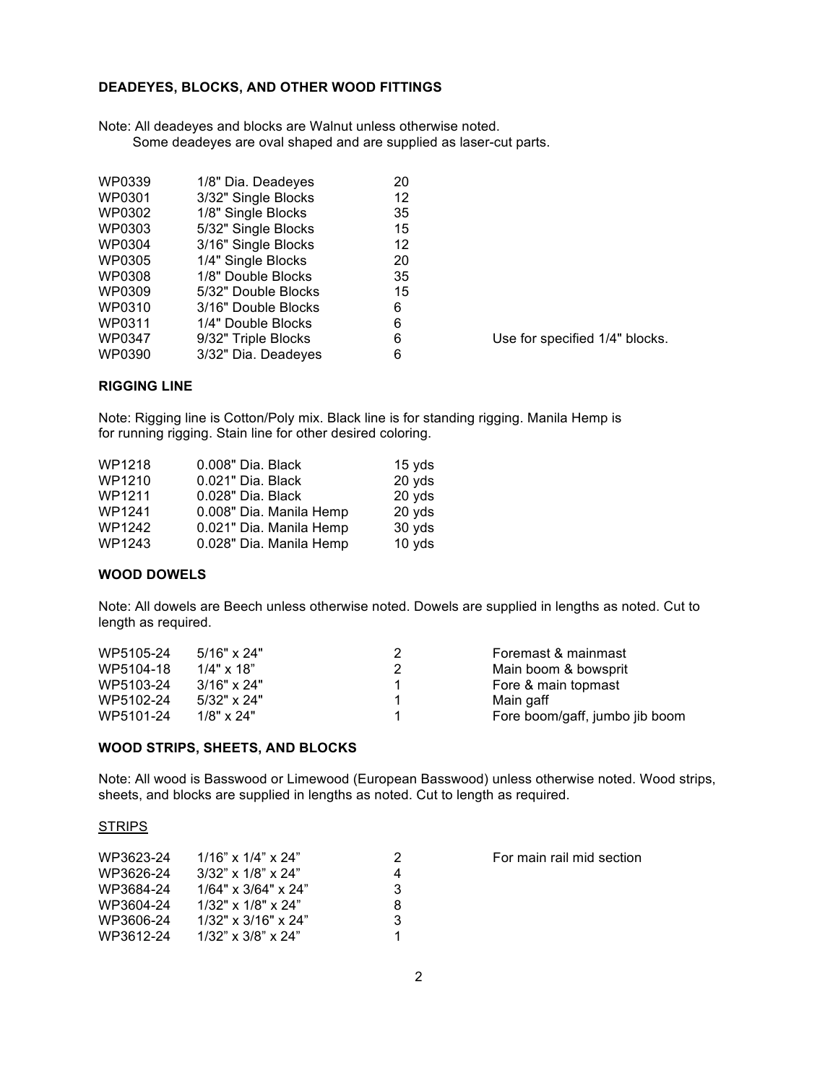## **DEADEYES, BLOCKS, AND OTHER WOOD FITTINGS**

Note: All deadeyes and blocks are Walnut unless otherwise noted. Some deadeyes are oval shaped and are supplied as laser-cut parts.

| <b>WP0339</b> | 1/8" Dia. Deadeyes  | 20 |
|---------------|---------------------|----|
| WP0301        | 3/32" Single Blocks | 12 |
| WP0302        | 1/8" Single Blocks  | 35 |
| WP0303        | 5/32" Single Blocks | 15 |
| WP0304        | 3/16" Single Blocks | 12 |
| WP0305        | 1/4" Single Blocks  | 20 |
| <b>WP0308</b> | 1/8" Double Blocks  | 35 |
| WP0309        | 5/32" Double Blocks | 15 |
| WP0310        | 3/16" Double Blocks | 6  |
| WP0311        | 1/4" Double Blocks  | 6  |
| <b>WP0347</b> | 9/32" Triple Blocks | 6  |
| WP0390        | 3/32" Dia. Deadeyes | 6  |

Use for specified 1/4" blocks.

## **RIGGING LINE**

Note: Rigging line is Cotton/Poly mix. Black line is for standing rigging. Manila Hemp is for running rigging. Stain line for other desired coloring.

| WP1218        | 0.008" Dia. Black       | 15 yds |
|---------------|-------------------------|--------|
| WP1210        | 0.021" Dia. Black       | 20 yds |
| WP1211        | 0.028" Dia. Black       | 20 yds |
| WP1241        | 0.008" Dia. Manila Hemp | 20 yds |
| <b>WP1242</b> | 0.021" Dia. Manila Hemp | 30 yds |
| WP1243        | 0.028" Dia. Manila Hemp | 10 yds |

### **WOOD DOWELS**

Note: All dowels are Beech unless otherwise noted. Dowels are supplied in lengths as noted. Cut to length as required.

| WP5105-24 | $5/16"$ x 24"      |   | Foremast & mainmast            |
|-----------|--------------------|---|--------------------------------|
| WP5104-18 | $1/4" \times 18"$  | 2 | Main boom & bowsprit           |
| WP5103-24 | $3/16"$ x 24"      |   | Fore & main topmast            |
| WP5102-24 | $5/32" \times 24"$ |   | Main gaff                      |
| WP5101-24 | $1/8" \times 24"$  |   | Fore boom/gaff, jumbo jib boom |

#### **WOOD STRIPS, SHEETS, AND BLOCKS**

Note: All wood is Basswood or Limewood (European Basswood) unless otherwise noted. Wood strips, sheets, and blocks are supplied in lengths as noted. Cut to length as required.

#### **STRIPS**

| WP3623-24 | $1/16$ " x $1/4$ " x $24$ "  | 2 |
|-----------|------------------------------|---|
| WP3626-24 | $3/32$ " x $1/8$ " x $24$ "  | 4 |
| WP3684-24 | $1/64"$ x $3/64"$ x $24"$    | 3 |
| WP3604-24 | $1/32$ " x $1/8$ " x $24$ "  | 8 |
| WP3606-24 | $1/32$ " x $3/16$ " x $24$ " | 3 |
| WP3612-24 | $1/32$ " x $3/8$ " x $24$ "  | 1 |

For main rail mid section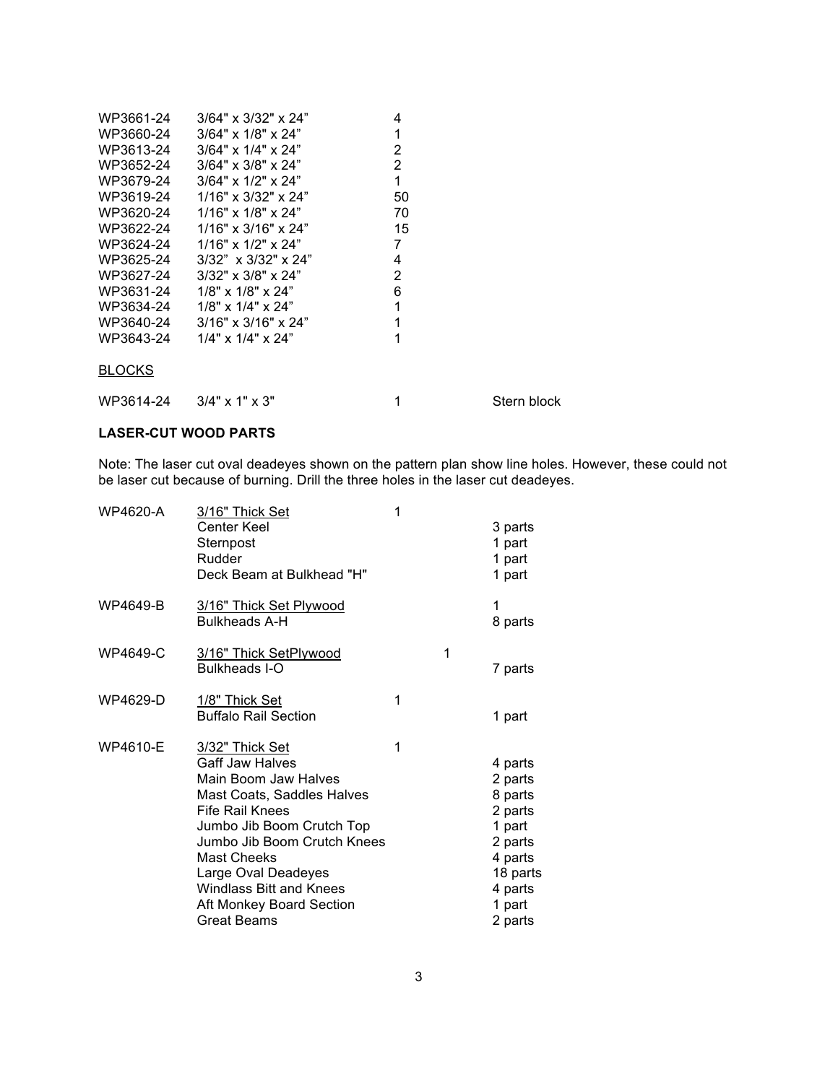| WP3661-24     | $3/64" \times 3/32" \times 24"$ | 4              |             |
|---------------|---------------------------------|----------------|-------------|
| WP3660-24     | $3/64"$ x $1/8"$ x $24"$        | 1              |             |
| WP3613-24     | $3/64" \times 1/4" \times 24"$  | $\overline{2}$ |             |
| WP3652-24     | $3/64" \times 3/8" \times 24"$  | $\overline{2}$ |             |
| WP3679-24     | $3/64"$ x $1/2"$ x $24"$        | 1              |             |
| WP3619-24     | $1/16"$ x 3/32" x 24"           | 50             |             |
| WP3620-24     | $1/16"$ x $1/8"$ x $24"$        | 70             |             |
| WP3622-24     | $1/16" \times 3/16" \times 24"$ | 15             |             |
| WP3624-24     | $1/16"$ x $1/2"$ x $24"$        | 7              |             |
| WP3625-24     | $3/32$ " x $3/32$ " x $24$ "    | 4              |             |
| WP3627-24     | $3/32$ " x $3/8$ " x $24$ "     | $\overline{2}$ |             |
| WP3631-24     | $1/8$ " x $1/8$ " x $24$ "      | 6              |             |
| WP3634-24     | $1/8$ " x $1/4$ " x 24"         | 1              |             |
|               | WP3640-24 3/16" x 3/16" x 24"   | 1              |             |
| WP3643-24     | $1/4$ " x $1/4$ " x $24$ "      | 1              |             |
|               |                                 |                |             |
| <b>BLOCKS</b> |                                 |                |             |
|               |                                 |                |             |
|               | WP3614-24 3/4" x 1" x 3"        |                | Stern block |

## **LASER-CUT WOOD PARTS**

Note: The laser cut oval deadeyes shown on the pattern plan show line holes. However, these could not be laser cut because of burning. Drill the three holes in the laser cut deadeyes.

| <b>WP4620-A</b> | 3/16" Thick Set<br><b>Center Keel</b><br>Sternpost<br>Rudder<br>Deck Beam at Bulkhead "H"                                                                                                                                                                                                                                     | 1 |   | 3 parts<br>1 part<br>1 part<br>1 part                                                                                |
|-----------------|-------------------------------------------------------------------------------------------------------------------------------------------------------------------------------------------------------------------------------------------------------------------------------------------------------------------------------|---|---|----------------------------------------------------------------------------------------------------------------------|
| WP4649-B        | 3/16" Thick Set Plywood<br><b>Bulkheads A-H</b>                                                                                                                                                                                                                                                                               |   |   | 1<br>8 parts                                                                                                         |
| <b>WP4649-C</b> | 3/16" Thick SetPlywood<br><b>Bulkheads I-O</b>                                                                                                                                                                                                                                                                                |   | 1 | 7 parts                                                                                                              |
| WP4629-D        | 1/8" Thick Set<br><b>Buffalo Rail Section</b>                                                                                                                                                                                                                                                                                 | 1 |   | 1 part                                                                                                               |
| WP4610-E        | <u>3/32" Thick Set</u><br><b>Gaff Jaw Halves</b><br>Main Boom Jaw Halves<br>Mast Coats, Saddles Halves<br><b>Fife Rail Knees</b><br>Jumbo Jib Boom Crutch Top<br>Jumbo Jib Boom Crutch Knees<br><b>Mast Cheeks</b><br>Large Oval Deadeyes<br><b>Windlass Bitt and Knees</b><br>Aft Monkey Board Section<br><b>Great Beams</b> | 1 |   | 4 parts<br>2 parts<br>8 parts<br>2 parts<br>1 part<br>2 parts<br>4 parts<br>18 parts<br>4 parts<br>1 part<br>2 parts |